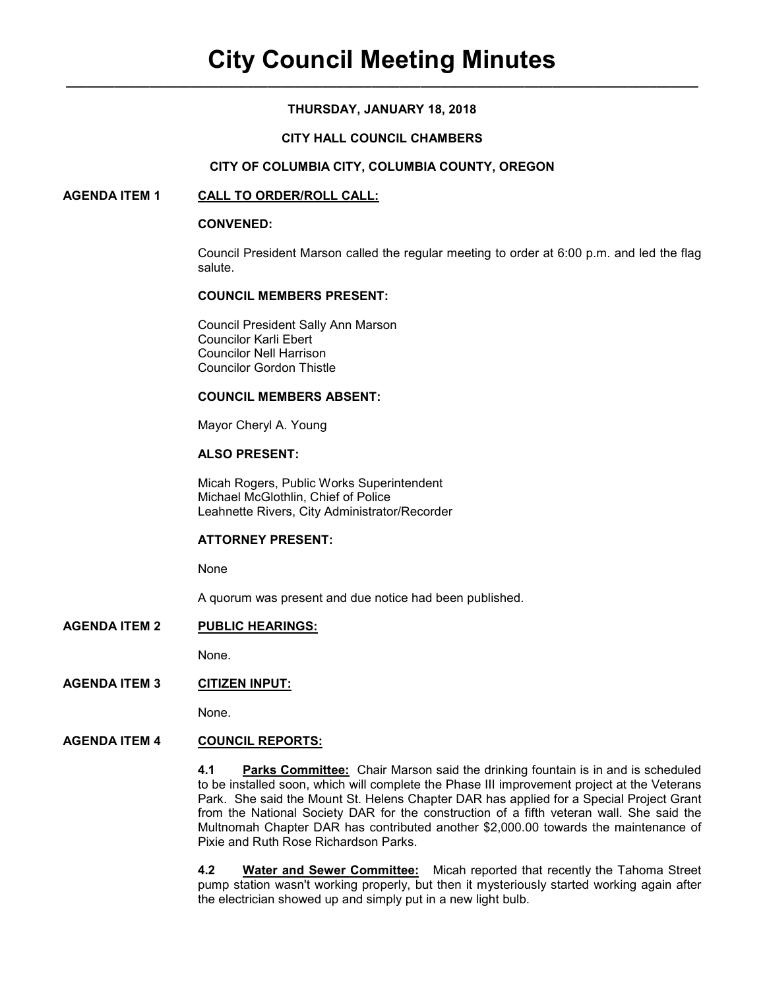#### **THURSDAY, JANUARY 18, 2018**

#### **CITY HALL COUNCIL CHAMBERS**

#### **CITY OF COLUMBIA CITY, COLUMBIA COUNTY, OREGON**

#### **AGENDA ITEM 1 CALL TO ORDER/ROLL CALL:**

#### **CONVENED:**

Council President Marson called the regular meeting to order at 6:00 p.m. and led the flag salute.

#### **COUNCIL MEMBERS PRESENT:**

 Council President Sally Ann Marson Councilor Karli Ebert Councilor Nell Harrison Councilor Gordon Thistle

#### **COUNCIL MEMBERS ABSENT:**

Mayor Cheryl A. Young

# **ALSO PRESENT:**

Micah Rogers, Public Works Superintendent Michael McGlothlin, Chief of Police Leahnette Rivers, City Administrator/Recorder

#### **ATTORNEY PRESENT:**

None

A quorum was present and due notice had been published.

#### **AGENDA ITEM 2 PUBLIC HEARINGS:**

None.

# **AGENDA ITEM 3 CITIZEN INPUT:**

None.

# **AGENDA ITEM 4 COUNCIL REPORTS:**

**4.1 Parks Committee:** Chair Marson said the drinking fountain is in and is scheduled to be installed soon, which will complete the Phase III improvement project at the Veterans Park. She said the Mount St. Helens Chapter DAR has applied for a Special Project Grant from the National Society DAR for the construction of a fifth veteran wall. She said the Multnomah Chapter DAR has contributed another \$2,000.00 towards the maintenance of Pixie and Ruth Rose Richardson Parks.

**4.2 Water and Sewer Committee:** Micah reported that recently the Tahoma Street pump station wasn't working properly, but then it mysteriously started working again after the electrician showed up and simply put in a new light bulb.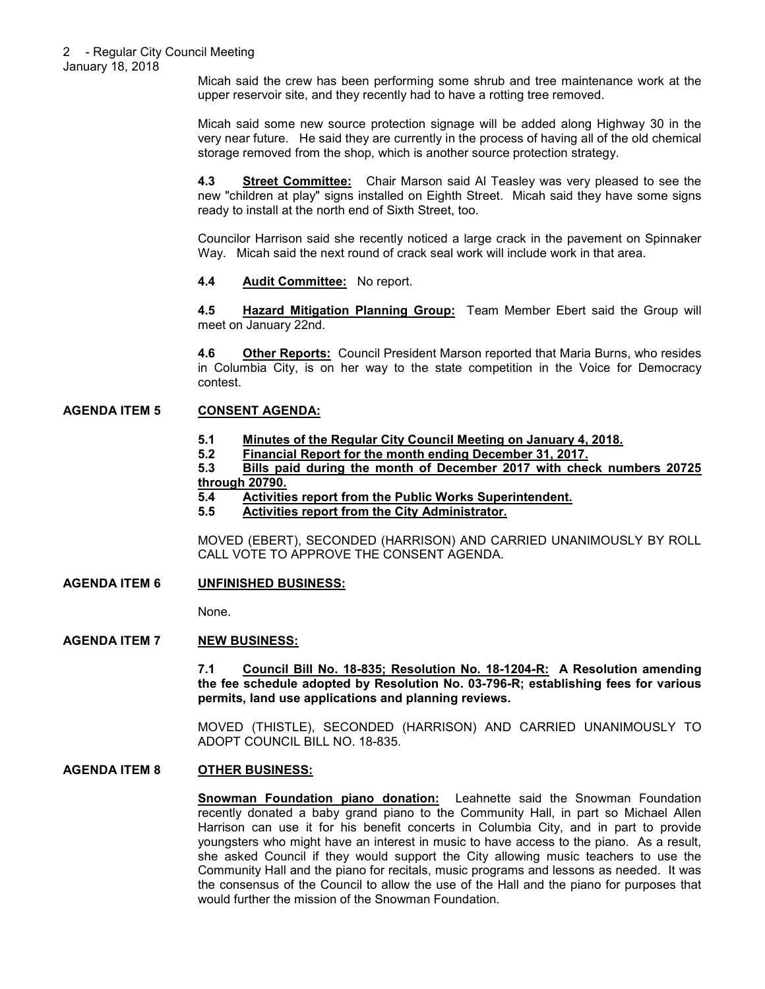January 18, 2018

Micah said the crew has been performing some shrub and tree maintenance work at the upper reservoir site, and they recently had to have a rotting tree removed.

Micah said some new source protection signage will be added along Highway 30 in the very near future. He said they are currently in the process of having all of the old chemical storage removed from the shop, which is another source protection strategy.

**4.3 Street Committee:** Chair Marson said Al Teasley was very pleased to see the new "children at play" signs installed on Eighth Street. Micah said they have some signs ready to install at the north end of Sixth Street, too.

Councilor Harrison said she recently noticed a large crack in the pavement on Spinnaker Way. Micah said the next round of crack seal work will include work in that area.

#### **4.4 Audit Committee:** No report.

**4.5 Hazard Mitigation Planning Group:** Team Member Ebert said the Group will meet on January 22nd.

**4.6 Other Reports:** Council President Marson reported that Maria Burns, who resides in Columbia City, is on her way to the state competition in the Voice for Democracy contest.

# **AGENDA ITEM 5 CONSENT AGENDA:**

# **5.1 Minutes of the Regular City Council Meeting on January 4, 2018.**

**5.2 Financial Report for the month ending December 31, 2017.**

**5.3 Bills paid during the month of December 2017 with check numbers 20725 through 20790.**

- **5.4 Activities report from the Public Works Superintendent.**
- **5.5 Activities report from the City Administrator.**

MOVED (EBERT), SECONDED (HARRISON) AND CARRIED UNANIMOUSLY BY ROLL CALL VOTE TO APPROVE THE CONSENT AGENDA.

# **AGENDA ITEM 6 UNFINISHED BUSINESS:**

None.

# **AGENDA ITEM 7 NEW BUSINESS:**

**7.1 Council Bill No. 18-835; Resolution No. 18-1204-R: A Resolution amending the fee schedule adopted by Resolution No. 03-796-R; establishing fees for various permits, land use applications and planning reviews.** 

MOVED (THISTLE), SECONDED (HARRISON) AND CARRIED UNANIMOUSLY TO ADOPT COUNCIL BILL NO. 18-835.

# **AGENDA ITEM 8 OTHER BUSINESS:**

**Snowman Foundation piano donation:** Leahnette said the Snowman Foundation recently donated a baby grand piano to the Community Hall, in part so Michael Allen Harrison can use it for his benefit concerts in Columbia City, and in part to provide youngsters who might have an interest in music to have access to the piano. As a result, she asked Council if they would support the City allowing music teachers to use the Community Hall and the piano for recitals, music programs and lessons as needed. It was the consensus of the Council to allow the use of the Hall and the piano for purposes that would further the mission of the Snowman Foundation.